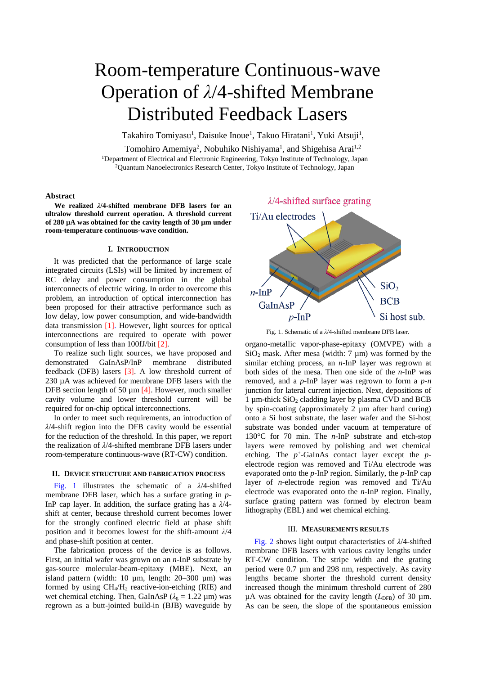# Room-temperature Continuous-wave Operation of *λ*/4-shifted Membrane Distributed Feedback Lasers

Takahiro Tomiyasu<sup>1</sup>, Daisuke Inoue<sup>1</sup>, Takuo Hiratani<sup>1</sup>, Yuki Atsuji<sup>1</sup>,

Tomohiro Amemiya<sup>2</sup>, Nobuhiko Nishiyama<sup>1</sup>, and Shigehisa Arai<sup>1,2</sup> <sup>1</sup>Department of Electrical and Electronic Engineering, Tokyo Institute of Technology, Japan <sup>2</sup>Quantum Nanoelectronics Research Center, Tokyo Institute of Technology, Japan

# **Abstract**

**We realized** *λ***/4-shifted membrane DFB lasers for an ultralow threshold current operation. A threshold current of 280 µA was obtained for the cavity length of 30 µm under room-temperature continuous-wave condition.**

#### **I. INTRODUCTION**

It was predicted that the performance of large scale integrated circuits (LSIs) will be limited by increment of RC delay and power consumption in the global interconnects of electric wiring. In order to overcome this problem, an introduction of optical interconnection has been proposed for their attractive performance such as low delay, low power consumption, and wide-bandwidth data transmission [1]. However, light sources for optical interconnections are required to operate with power consumption of less than 100fJ/bit [2].

To realize such light sources, we have proposed and demonstrated GaInAsP/InP membrane distributed feedback (DFB) lasers [3]. A low threshold current of 230 µA was achieved for membrane DFB lasers with the DFB section length of 50  $\mu$ m [4]. However, much smaller cavity volume and lower threshold current will be required for on-chip optical interconnections.

In order to meet such requirements, an introduction of *λ*/4-shift region into the DFB cavity would be essential for the reduction of the threshold. In this paper, we report the realization of *λ*/4-shifted membrane DFB lasers under room-temperature continuous-wave (RT-CW) condition.

### **II. DEVICE STRUCTURE AND FABRICATION PROCESS**

Fig. 1 illustrates the schematic of a *λ*/4-shifted membrane DFB laser, which has a surface grating in *p*-InP cap layer. In addition, the surface grating has a *λ*/4 shift at center, because threshold current becomes lower for the strongly confined electric field at phase shift position and it becomes lowest for the shift-amount *λ*/4 and phase-shift position at center.

The fabrication process of the device is as follows. First, an initial wafer was grown on an *n*-InP substrate by gas-source molecular-beam-epitaxy (MBE). Next, an island pattern (width:  $10 \mu m$ , length:  $20-300 \mu m$ ) was formed by using  $CH_4/H_2$  reactive-ion-etching (RIE) and wet chemical etching. Then, GaInAsP ( $\lambda_g = 1.22 \mu m$ ) was regrown as a butt-jointed build-in (BJB) waveguide by



Fig. 1. Schematic of a *λ*/4-shifted membrane DFB laser.

organo-metallic vapor-phase-epitaxy (OMVPE) with a  $SiO<sub>2</sub>$  mask. After mesa (width: 7  $\mu$ m) was formed by the similar etching process, an *n*-InP layer was regrown at both sides of the mesa. Then one side of the *n*-InP was removed, and a *p*-InP layer was regrown to form a *p-n* junction for lateral current injection. Next, depositions of 1  $\mu$ m-thick SiO<sub>2</sub> cladding layer by plasma CVD and BCB by spin-coating (approximately 2 µm after hard curing) onto a Si host substrate, the laser wafer and the Si-host substrate was bonded under vacuum at temperature of 130°C for 70 min. The *n*-InP substrate and etch-stop layers were removed by polishing and wet chemical etching. The  $p^+$ -GaInAs contact layer except the  $p$ electrode region was removed and Ti/Au electrode was evaporated onto the *p*-InP region. Similarly, the *p*-InP cap layer of *n*-electrode region was removed and Ti/Au electrode was evaporated onto the *n*-InP region. Finally, surface grating pattern was formed by electron beam lithography (EBL) and wet chemical etching.

#### III. **MEASUREMENTS RESULTS**

Fig. 2 shows light output characteristics of *λ*/4-shifted membrane DFB lasers with various cavity lengths under RT-CW condition. The stripe width and the grating period were 0.7 µm and 298 nm, respectively. As cavity lengths became shorter the threshold current density increased though the minimum threshold current of 280  $\mu$ A was obtained for the cavity length ( $L<sub>DFB</sub>$ ) of 30  $\mu$ m. As can be seen, the slope of the spontaneous emission